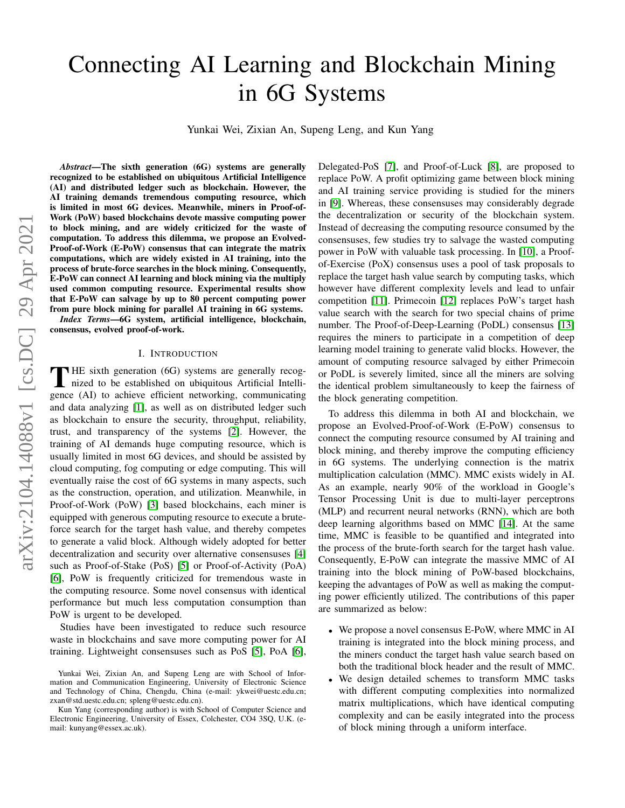# Connecting AI Learning and Blockchain Mining in 6G Systems

Yunkai Wei, Zixian An, Supeng Leng, and Kun Yang

*Abstract*—The sixth generation (6G) systems are generally recognized to be established on ubiquitous Artificial Intelligence (AI) and distributed ledger such as blockchain. However, the AI training demands tremendous computing resource, which is limited in most 6G devices. Meanwhile, miners in Proof-of-Work (PoW) based blockchains devote massive computing power to block mining, and are widely criticized for the waste of computation. To address this dilemma, we propose an Evolved-Proof-of-Work (E-PoW) consensus that can integrate the matrix computations, which are widely existed in AI training, into the process of brute-force searches in the block mining. Consequently, E-PoW can connect AI learning and block mining via the multiply used common computing resource. Experimental results show that E-PoW can salvage by up to 80 percent computing power from pure block mining for parallel AI training in 6G systems.

*Index Terms*—6G system, artificial intelligence, blockchain, consensus, evolved proof-of-work.

## I. INTRODUCTION

THE sixth generation (6G) systems are generally recognized to be established on ubiquitous Artificial Intellinized to be established on ubiquitous Artificial Intelligence (AI) to achieve efficient networking, communicating and data analyzing [\[1\]](#page-5-0), as well as on distributed ledger such as blockchain to ensure the security, throughput, reliability, trust, and transparency of the systems [\[2\]](#page-5-1). However, the training of AI demands huge computing resource, which is usually limited in most 6G devices, and should be assisted by cloud computing, fog computing or edge computing. This will eventually raise the cost of 6G systems in many aspects, such as the construction, operation, and utilization. Meanwhile, in Proof-of-Work (PoW) [\[3\]](#page-5-2) based blockchains, each miner is equipped with generous computing resource to execute a bruteforce search for the target hash value, and thereby competes to generate a valid block. Although widely adopted for better decentralization and security over alternative consensuses [\[4\]](#page-5-3) such as Proof-of-Stake (PoS) [\[5\]](#page-5-4) or Proof-of-Activity (PoA) [\[6\]](#page-5-5), PoW is frequently criticized for tremendous waste in the computing resource. Some novel consensus with identical performance but much less computation consumption than PoW is urgent to be developed.

Studies have been investigated to reduce such resource waste in blockchains and save more computing power for AI training. Lightweight consensuses such as PoS [\[5\]](#page-5-4), PoA [\[6\]](#page-5-5), Delegated-PoS [\[7\]](#page-5-6), and Proof-of-Luck [\[8\]](#page-5-7), are proposed to replace PoW. A profit optimizing game between block mining and AI training service providing is studied for the miners in [\[9\]](#page-5-8). Whereas, these consensuses may considerably degrade the decentralization or security of the blockchain system. Instead of decreasing the computing resource consumed by the consensuses, few studies try to salvage the wasted computing power in PoW with valuable task processing. In [\[10\]](#page-5-9), a Proofof-Exercise (PoX) consensus uses a pool of task proposals to replace the target hash value search by computing tasks, which however have different complexity levels and lead to unfair competition [\[11\]](#page-5-10). Primecoin [\[12\]](#page-5-11) replaces PoW's target hash value search with the search for two special chains of prime number. The Proof-of-Deep-Learning (PoDL) consensus [\[13\]](#page-5-12) requires the miners to participate in a competition of deep learning model training to generate valid blocks. However, the amount of computing resource salvaged by either Primecoin or PoDL is severely limited, since all the miners are solving the identical problem simultaneously to keep the fairness of the block generating competition.

To address this dilemma in both AI and blockchain, we propose an Evolved-Proof-of-Work (E-PoW) consensus to connect the computing resource consumed by AI training and block mining, and thereby improve the computing efficiency in 6G systems. The underlying connection is the matrix multiplication calculation (MMC). MMC exists widely in AI. As an example, nearly 90% of the workload in Google's Tensor Processing Unit is due to multi-layer perceptrons (MLP) and recurrent neural networks (RNN), which are both deep learning algorithms based on MMC [\[14\]](#page-6-0). At the same time, MMC is feasible to be quantified and integrated into the process of the brute-forth search for the target hash value. Consequently, E-PoW can integrate the massive MMC of AI training into the block mining of PoW-based blockchains, keeping the advantages of PoW as well as making the computing power efficiently utilized. The contributions of this paper are summarized as below:

- We propose a novel consensus E-PoW, where MMC in AI training is integrated into the block mining process, and the miners conduct the target hash value search based on both the traditional block header and the result of MMC.
- We design detailed schemes to transform MMC tasks with different computing complexities into normalized matrix multiplications, which have identical computing complexity and can be easily integrated into the process of block mining through a uniform interface.

Yunkai Wei, Zixian An, and Supeng Leng are with School of Information and Communication Engineering, University of Electronic Science and Technology of China, Chengdu, China (e-mail: ykwei@uestc.edu.cn; zxan@std.uestc.edu.cn; spleng@uestc.edu.cn).

Kun Yang (corresponding author) is with School of Computer Science and Electronic Engineering, University of Essex, Colchester, CO4 3SQ, U.K. (email: kunyang@essex.ac.uk).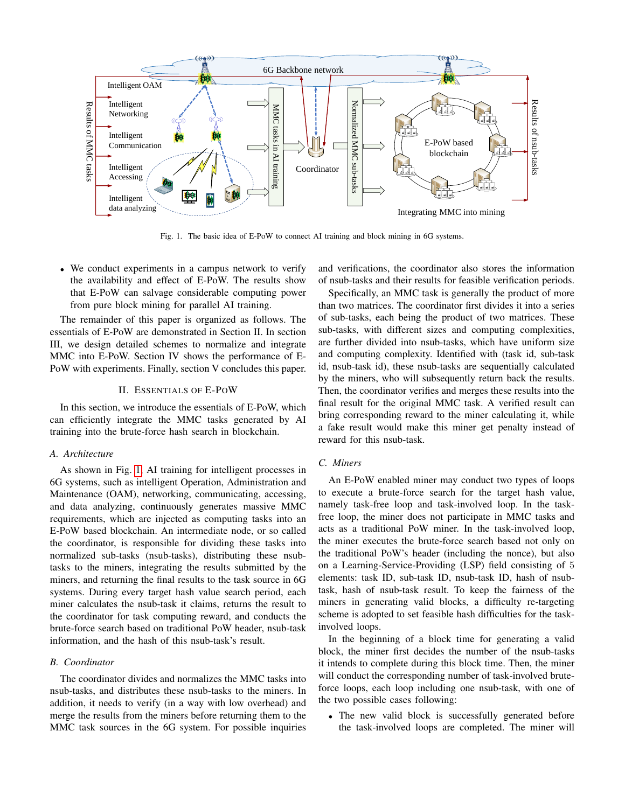

<span id="page-1-0"></span>Fig. 1. The basic idea of E-PoW to connect AI training and block mining in 6G systems.

• We conduct experiments in a campus network to verify the availability and effect of E-PoW. The results show that E-PoW can salvage considerable computing power from pure block mining for parallel AI training.

The remainder of this paper is organized as follows. The essentials of E-PoW are demonstrated in Section II. In section III, we design detailed schemes to normalize and integrate MMC into E-PoW. Section IV shows the performance of E-PoW with experiments. Finally, section V concludes this paper.

#### II. ESSENTIALS OF E-POW

In this section, we introduce the essentials of E-PoW, which can efficiently integrate the MMC tasks generated by AI training into the brute-force hash search in blockchain.

# *A. Architecture*

As shown in Fig. [1,](#page-1-0) AI training for intelligent processes in 6G systems, such as intelligent Operation, Administration and Maintenance (OAM), networking, communicating, accessing, and data analyzing, continuously generates massive MMC requirements, which are injected as computing tasks into an E-PoW based blockchain. An intermediate node, or so called the coordinator, is responsible for dividing these tasks into normalized sub-tasks (nsub-tasks), distributing these nsubtasks to the miners, integrating the results submitted by the miners, and returning the final results to the task source in 6G systems. During every target hash value search period, each miner calculates the nsub-task it claims, returns the result to the coordinator for task computing reward, and conducts the brute-force search based on traditional PoW header, nsub-task information, and the hash of this nsub-task's result.

## *B. Coordinator*

The coordinator divides and normalizes the MMC tasks into nsub-tasks, and distributes these nsub-tasks to the miners. In addition, it needs to verify (in a way with low overhead) and merge the results from the miners before returning them to the MMC task sources in the 6G system. For possible inquiries and verifications, the coordinator also stores the information of nsub-tasks and their results for feasible verification periods.

Specifically, an MMC task is generally the product of more than two matrices. The coordinator first divides it into a series of sub-tasks, each being the product of two matrices. These sub-tasks, with different sizes and computing complexities, are further divided into nsub-tasks, which have uniform size and computing complexity. Identified with (task id, sub-task id, nsub-task id), these nsub-tasks are sequentially calculated by the miners, who will subsequently return back the results. Then, the coordinator verifies and merges these results into the final result for the original MMC task. A verified result can bring corresponding reward to the miner calculating it, while a fake result would make this miner get penalty instead of reward for this nsub-task.

# *C. Miners*

An E-PoW enabled miner may conduct two types of loops to execute a brute-force search for the target hash value, namely task-free loop and task-involved loop. In the taskfree loop, the miner does not participate in MMC tasks and acts as a traditional PoW miner. In the task-involved loop, the miner executes the brute-force search based not only on the traditional PoW's header (including the nonce), but also on a Learning-Service-Providing (LSP) field consisting of 5 elements: task ID, sub-task ID, nsub-task ID, hash of nsubtask, hash of nsub-task result. To keep the fairness of the miners in generating valid blocks, a difficulty re-targeting scheme is adopted to set feasible hash difficulties for the taskinvolved loops.

In the beginning of a block time for generating a valid block, the miner first decides the number of the nsub-tasks it intends to complete during this block time. Then, the miner will conduct the corresponding number of task-involved bruteforce loops, each loop including one nsub-task, with one of the two possible cases following:

• The new valid block is successfully generated before the task-involved loops are completed. The miner will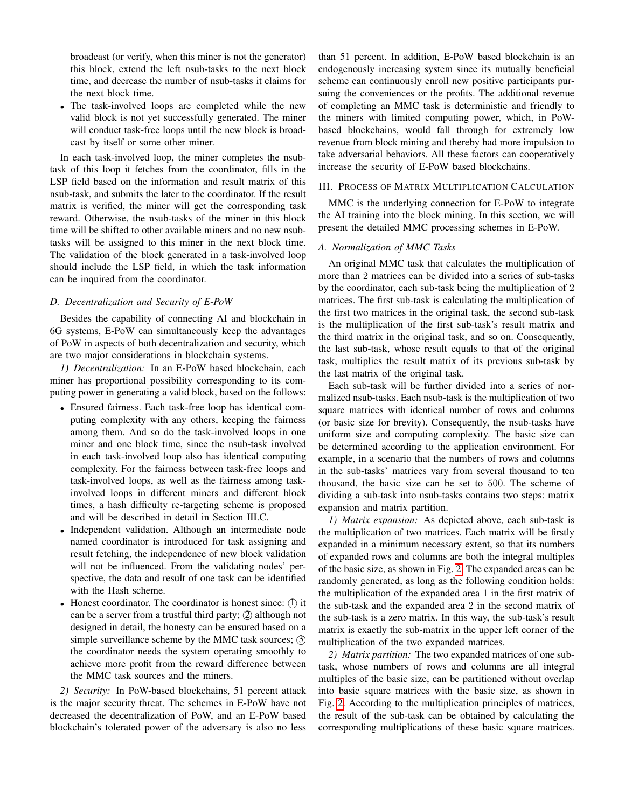broadcast (or verify, when this miner is not the generator) this block, extend the left nsub-tasks to the next block time, and decrease the number of nsub-tasks it claims for the next block time.

• The task-involved loops are completed while the new valid block is not yet successfully generated. The miner will conduct task-free loops until the new block is broadcast by itself or some other miner.

In each task-involved loop, the miner completes the nsubtask of this loop it fetches from the coordinator, fills in the LSP field based on the information and result matrix of this nsub-task, and submits the later to the coordinator. If the result matrix is verified, the miner will get the corresponding task reward. Otherwise, the nsub-tasks of the miner in this block time will be shifted to other available miners and no new nsubtasks will be assigned to this miner in the next block time. The validation of the block generated in a task-involved loop should include the LSP field, in which the task information can be inquired from the coordinator.

## *D. Decentralization and Security of E-PoW*

Besides the capability of connecting AI and blockchain in 6G systems, E-PoW can simultaneously keep the advantages of PoW in aspects of both decentralization and security, which are two major considerations in blockchain systems.

*1) Decentralization:* In an E-PoW based blockchain, each miner has proportional possibility corresponding to its computing power in generating a valid block, based on the follows:

- Ensured fairness. Each task-free loop has identical computing complexity with any others, keeping the fairness among them. And so do the task-involved loops in one miner and one block time, since the nsub-task involved in each task-involved loop also has identical computing complexity. For the fairness between task-free loops and task-involved loops, as well as the fairness among taskinvolved loops in different miners and different block times, a hash difficulty re-targeting scheme is proposed and will be described in detail in Section III.C.
- Independent validation. Although an intermediate node named coordinator is introduced for task assigning and result fetching, the independence of new block validation will not be influenced. From the validating nodes' perspective, the data and result of one task can be identified with the Hash scheme.
- Honest coordinator. The coordinator is honest since:  $(1)$  it can be a server from a trustful third party; 2 although not designed in detail, the honesty can be ensured based on a simple surveillance scheme by the MMC task sources; (3) the coordinator needs the system operating smoothly to achieve more profit from the reward difference between the MMC task sources and the miners.

*2) Security:* In PoW-based blockchains, 51 percent attack is the major security threat. The schemes in E-PoW have not decreased the decentralization of PoW, and an E-PoW based blockchain's tolerated power of the adversary is also no less than 51 percent. In addition, E-PoW based blockchain is an endogenously increasing system since its mutually beneficial scheme can continuously enroll new positive participants pursuing the conveniences or the profits. The additional revenue of completing an MMC task is deterministic and friendly to the miners with limited computing power, which, in PoWbased blockchains, would fall through for extremely low revenue from block mining and thereby had more impulsion to take adversarial behaviors. All these factors can cooperatively increase the security of E-PoW based blockchains.

# III. PROCESS OF MATRIX MULTIPLICATION CALCULATION

MMC is the underlying connection for E-PoW to integrate the AI training into the block mining. In this section, we will present the detailed MMC processing schemes in E-PoW.

# *A. Normalization of MMC Tasks*

An original MMC task that calculates the multiplication of more than 2 matrices can be divided into a series of sub-tasks by the coordinator, each sub-task being the multiplication of 2 matrices. The first sub-task is calculating the multiplication of the first two matrices in the original task, the second sub-task is the multiplication of the first sub-task's result matrix and the third matrix in the original task, and so on. Consequently, the last sub-task, whose result equals to that of the original task, multiplies the result matrix of its previous sub-task by the last matrix of the original task.

Each sub-task will be further divided into a series of normalized nsub-tasks. Each nsub-task is the multiplication of two square matrices with identical number of rows and columns (or basic size for brevity). Consequently, the nsub-tasks have uniform size and computing complexity. The basic size can be determined according to the application environment. For example, in a scenario that the numbers of rows and columns in the sub-tasks' matrices vary from several thousand to ten thousand, the basic size can be set to 500. The scheme of dividing a sub-task into nsub-tasks contains two steps: matrix expansion and matrix partition.

*1) Matrix expansion:* As depicted above, each sub-task is the multiplication of two matrices. Each matrix will be firstly expanded in a minimum necessary extent, so that its numbers of expanded rows and columns are both the integral multiples of the basic size, as shown in Fig. [2.](#page-3-0) The expanded areas can be randomly generated, as long as the following condition holds: the multiplication of the expanded area 1 in the first matrix of the sub-task and the expanded area 2 in the second matrix of the sub-task is a zero matrix. In this way, the sub-task's result matrix is exactly the sub-matrix in the upper left corner of the multiplication of the two expanded matrices.

*2) Matrix partition:* The two expanded matrices of one subtask, whose numbers of rows and columns are all integral multiples of the basic size, can be partitioned without overlap into basic square matrices with the basic size, as shown in Fig. [2.](#page-3-0) According to the multiplication principles of matrices, the result of the sub-task can be obtained by calculating the corresponding multiplications of these basic square matrices.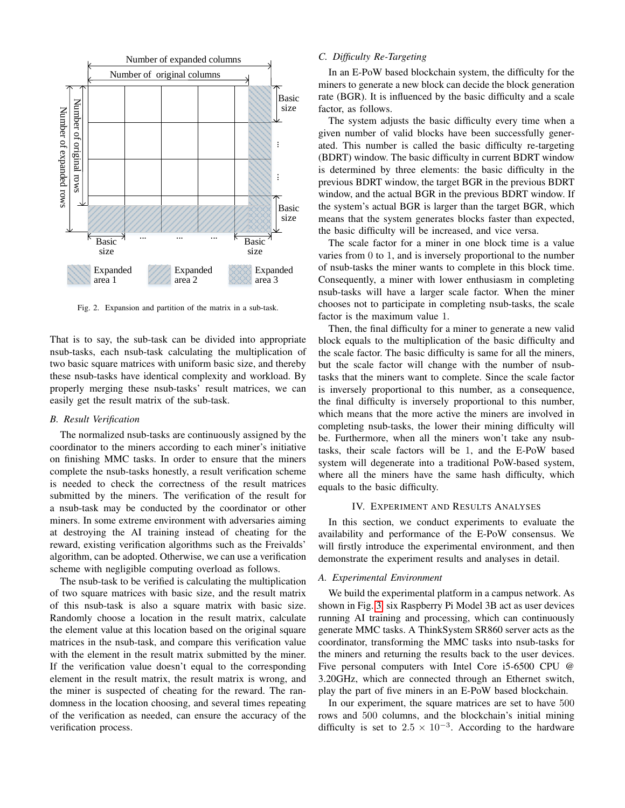

<span id="page-3-0"></span>Fig. 2. Expansion and partition of the matrix in a sub-task.

That is to say, the sub-task can be divided into appropriate nsub-tasks, each nsub-task calculating the multiplication of two basic square matrices with uniform basic size, and thereby these nsub-tasks have identical complexity and workload. By properly merging these nsub-tasks' result matrices, we can easily get the result matrix of the sub-task.

## *B. Result Verification*

The normalized nsub-tasks are continuously assigned by the coordinator to the miners according to each miner's initiative on finishing MMC tasks. In order to ensure that the miners complete the nsub-tasks honestly, a result verification scheme is needed to check the correctness of the result matrices submitted by the miners. The verification of the result for a nsub-task may be conducted by the coordinator or other miners. In some extreme environment with adversaries aiming at destroying the AI training instead of cheating for the reward, existing verification algorithms such as the Freivalds' algorithm, can be adopted. Otherwise, we can use a verification scheme with negligible computing overload as follows.

The nsub-task to be verified is calculating the multiplication of two square matrices with basic size, and the result matrix of this nsub-task is also a square matrix with basic size. Randomly choose a location in the result matrix, calculate the element value at this location based on the original square matrices in the nsub-task, and compare this verification value with the element in the result matrix submitted by the miner. If the verification value doesn't equal to the corresponding element in the result matrix, the result matrix is wrong, and the miner is suspected of cheating for the reward. The randomness in the location choosing, and several times repeating of the verification as needed, can ensure the accuracy of the verification process.

# *C. Difficulty Re-Targeting*

In an E-PoW based blockchain system, the difficulty for the miners to generate a new block can decide the block generation rate (BGR). It is influenced by the basic difficulty and a scale factor, as follows.

The system adjusts the basic difficulty every time when a given number of valid blocks have been successfully generated. This number is called the basic difficulty re-targeting (BDRT) window. The basic difficulty in current BDRT window is determined by three elements: the basic difficulty in the previous BDRT window, the target BGR in the previous BDRT window, and the actual BGR in the previous BDRT window. If the system's actual BGR is larger than the target BGR, which means that the system generates blocks faster than expected, the basic difficulty will be increased, and vice versa.

The scale factor for a miner in one block time is a value varies from 0 to 1, and is inversely proportional to the number of nsub-tasks the miner wants to complete in this block time. Consequently, a miner with lower enthusiasm in completing nsub-tasks will have a larger scale factor. When the miner chooses not to participate in completing nsub-tasks, the scale factor is the maximum value 1.

Then, the final difficulty for a miner to generate a new valid block equals to the multiplication of the basic difficulty and the scale factor. The basic difficulty is same for all the miners, but the scale factor will change with the number of nsubtasks that the miners want to complete. Since the scale factor is inversely proportional to this number, as a consequence, the final difficulty is inversely proportional to this number, which means that the more active the miners are involved in completing nsub-tasks, the lower their mining difficulty will be. Furthermore, when all the miners won't take any nsubtasks, their scale factors will be 1, and the E-PoW based system will degenerate into a traditional PoW-based system, where all the miners have the same hash difficulty, which equals to the basic difficulty.

### IV. EXPERIMENT AND RESULTS ANALYSES

In this section, we conduct experiments to evaluate the availability and performance of the E-PoW consensus. We will firstly introduce the experimental environment, and then demonstrate the experiment results and analyses in detail.

#### *A. Experimental Environment*

We build the experimental platform in a campus network. As shown in Fig. [3,](#page-4-0) six Raspberry Pi Model 3B act as user devices running AI training and processing, which can continuously generate MMC tasks. A ThinkSystem SR860 server acts as the coordinator, transforming the MMC tasks into nsub-tasks for the miners and returning the results back to the user devices. Five personal computers with Intel Core i5-6500 CPU @ 3.20GHz, which are connected through an Ethernet switch, play the part of five miners in an E-PoW based blockchain.

In our experiment, the square matrices are set to have 500 rows and 500 columns, and the blockchain's initial mining difficulty is set to  $2.5 \times 10^{-3}$ . According to the hardware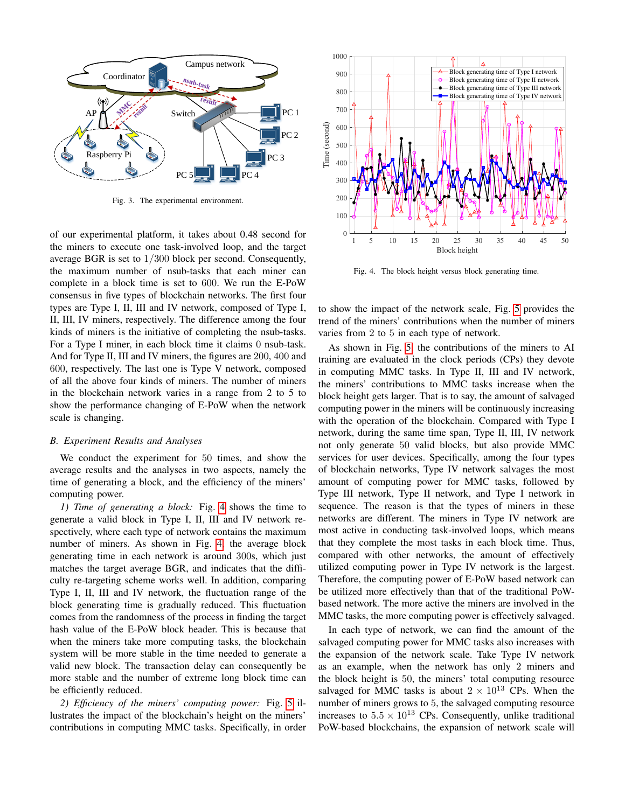

<span id="page-4-0"></span>Fig. 3. The experimental environment.

of our experimental platform, it takes about 0.48 second for the miners to execute one task-involved loop, and the target average BGR is set to 1/300 block per second. Consequently, the maximum number of nsub-tasks that each miner can complete in a block time is set to 600. We run the E-PoW consensus in five types of blockchain networks. The first four types are Type I, II, III and IV network, composed of Type I, II, III, IV miners, respectively. The difference among the four kinds of miners is the initiative of completing the nsub-tasks. For a Type I miner, in each block time it claims 0 nsub-task. And for Type II, III and IV miners, the figures are 200, 400 and 600, respectively. The last one is Type V network, composed of all the above four kinds of miners. The number of miners in the blockchain network varies in a range from 2 to 5 to show the performance changing of E-PoW when the network scale is changing.

#### *B. Experiment Results and Analyses*

We conduct the experiment for 50 times, and show the average results and the analyses in two aspects, namely the time of generating a block, and the efficiency of the miners' computing power.

*1) Time of generating a block:* Fig. [4](#page-4-1) shows the time to generate a valid block in Type I, II, III and IV network respectively, where each type of network contains the maximum number of miners. As shown in Fig. [4,](#page-4-1) the average block generating time in each network is around 300s, which just matches the target average BGR, and indicates that the difficulty re-targeting scheme works well. In addition, comparing Type I, II, III and IV network, the fluctuation range of the block generating time is gradually reduced. This fluctuation comes from the randomness of the process in finding the target hash value of the E-PoW block header. This is because that when the miners take more computing tasks, the blockchain system will be more stable in the time needed to generate a valid new block. The transaction delay can consequently be more stable and the number of extreme long block time can be efficiently reduced.

*2) Efficiency of the miners' computing power:* Fig. [5](#page-5-13) illustrates the impact of the blockchain's height on the miners' contributions in computing MMC tasks. Specifically, in order



<span id="page-4-1"></span>Fig. 4. The block height versus block generating time.

to show the impact of the network scale, Fig. [5](#page-5-13) provides the trend of the miners' contributions when the number of miners varies from 2 to 5 in each type of network.

As shown in Fig. [5,](#page-5-13) the contributions of the miners to AI training are evaluated in the clock periods (CPs) they devote in computing MMC tasks. In Type II, III and IV network, the miners' contributions to MMC tasks increase when the block height gets larger. That is to say, the amount of salvaged computing power in the miners will be continuously increasing with the operation of the blockchain. Compared with Type I network, during the same time span, Type II, III, IV network not only generate 50 valid blocks, but also provide MMC services for user devices. Specifically, among the four types of blockchain networks, Type IV network salvages the most amount of computing power for MMC tasks, followed by Type III network, Type II network, and Type I network in sequence. The reason is that the types of miners in these networks are different. The miners in Type IV network are most active in conducting task-involved loops, which means that they complete the most tasks in each block time. Thus, compared with other networks, the amount of effectively utilized computing power in Type IV network is the largest. Therefore, the computing power of E-PoW based network can be utilized more effectively than that of the traditional PoWbased network. The more active the miners are involved in the MMC tasks, the more computing power is effectively salvaged.

In each type of network, we can find the amount of the salvaged computing power for MMC tasks also increases with the expansion of the network scale. Take Type IV network as an example, when the network has only 2 miners and the block height is 50, the miners' total computing resource salvaged for MMC tasks is about  $2 \times 10^{13}$  CPs. When the number of miners grows to 5, the salvaged computing resource increases to  $5.5 \times 10^{13}$  CPs. Consequently, unlike traditional PoW-based blockchains, the expansion of network scale will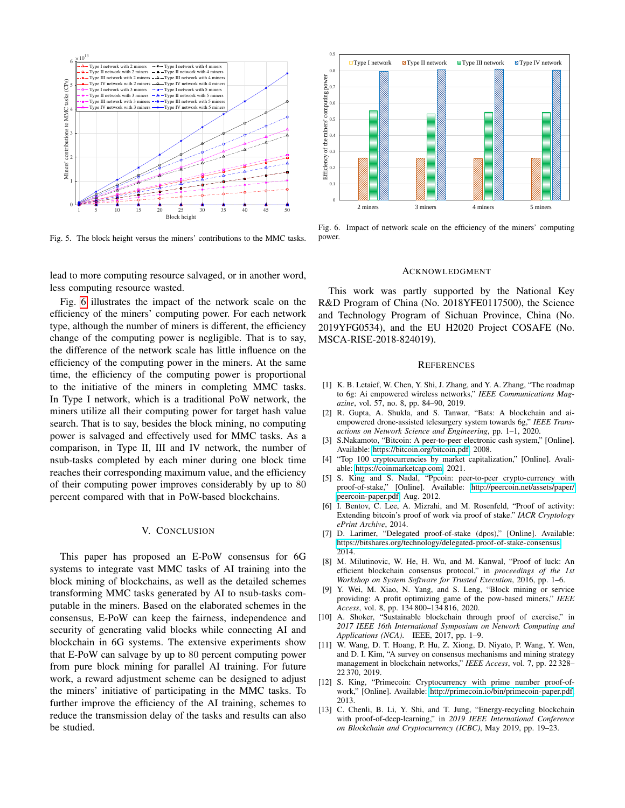

<span id="page-5-13"></span>Fig. 5. The block height versus the miners' contributions to the MMC tasks.

lead to more computing resource salvaged, or in another word, less computing resource wasted.

Fig. [6](#page-5-14) illustrates the impact of the network scale on the efficiency of the miners' computing power. For each network type, although the number of miners is different, the efficiency change of the computing power is negligible. That is to say, the difference of the network scale has little influence on the efficiency of the computing power in the miners. At the same time, the efficiency of the computing power is proportional to the initiative of the miners in completing MMC tasks. In Type I network, which is a traditional PoW network, the miners utilize all their computing power for target hash value search. That is to say, besides the block mining, no computing power is salvaged and effectively used for MMC tasks. As a comparison, in Type II, III and IV network, the number of nsub-tasks completed by each miner during one block time reaches their corresponding maximum value, and the efficiency of their computing power improves considerably by up to 80 percent compared with that in PoW-based blockchains.

### V. CONCLUSION

This paper has proposed an E-PoW consensus for 6G systems to integrate vast MMC tasks of AI training into the block mining of blockchains, as well as the detailed schemes transforming MMC tasks generated by AI to nsub-tasks computable in the miners. Based on the elaborated schemes in the consensus, E-PoW can keep the fairness, independence and security of generating valid blocks while connecting AI and blockchain in 6G systems. The extensive experiments show that E-PoW can salvage by up to 80 percent computing power from pure block mining for parallel AI training. For future work, a reward adjustment scheme can be designed to adjust the miners' initiative of participating in the MMC tasks. To further improve the efficiency of the AI training, schemes to reduce the transmission delay of the tasks and results can also be studied.



<span id="page-5-14"></span>Fig. 6. Impact of network scale on the efficiency of the miners' computing power.

#### ACKNOWLEDGMENT

This work was partly supported by the National Key R&D Program of China (No. 2018YFE0117500), the Science and Technology Program of Sichuan Province, China (No. 2019YFG0534), and the EU H2020 Project COSAFE (No. MSCA-RISE-2018-824019).

#### **REFERENCES**

- <span id="page-5-0"></span>[1] K. B. Letaief, W. Chen, Y. Shi, J. Zhang, and Y. A. Zhang, "The roadmap to 6g: Ai empowered wireless networks," *IEEE Communications Magazine*, vol. 57, no. 8, pp. 84–90, 2019.
- <span id="page-5-1"></span>[2] R. Gupta, A. Shukla, and S. Tanwar, "Bats: A blockchain and aiempowered drone-assisted telesurgery system towards 6g," *IEEE Transactions on Network Science and Engineering*, pp. 1–1, 2020.
- <span id="page-5-2"></span>[3] S.Nakamoto, "Bitcoin: A peer-to-peer electronic cash system," [Online]. Available: [https://bitcoin.org/bitcoin.pdf,](https://bitcoin.org/bitcoin.pdf) 2008.
- <span id="page-5-3"></span>[4] "Top 100 cryptocurrencies by market capitalization," [Online]. Avaliable: [https://coinmarketcap.com,](https://coinmarketcap.com) 2021.
- <span id="page-5-4"></span>[5] S. King and S. Nadal, "Ppcoin: peer-to-peer crypto-currency with proof-of-stake," [Online]. Available: [http://peercoin.net/assets/paper/](http://peercoin.net/assets/paper/peercoin-paper.pdf) [peercoin-paper.pdf,](http://peercoin.net/assets/paper/peercoin-paper.pdf) Aug. 2012.
- <span id="page-5-5"></span>[6] I. Bentov, C. Lee, A. Mizrahi, and M. Rosenfeld, "Proof of activity: Extending bitcoin's proof of work via proof of stake." *IACR Cryptology ePrint Archive*, 2014.
- <span id="page-5-6"></span>[7] D. Larimer, "Delegated proof-of-stake (dpos)," [Online]. Available: [https://bitshares.org/technology/delegated-proof-of-stake-consensus,](https://bitshares.org/technology/delegated-proof-of-stake-consensus) 2014.
- <span id="page-5-7"></span>[8] M. Milutinovic, W. He, H. Wu, and M. Kanwal, "Proof of luck: An efficient blockchain consensus protocol," in *proceedings of the 1st Workshop on System Software for Trusted Execution*, 2016, pp. 1–6.
- <span id="page-5-8"></span>[9] Y. Wei, M. Xiao, N. Yang, and S. Leng, "Block mining or service providing: A profit optimizing game of the pow-based miners," *IEEE Access*, vol. 8, pp. 134 800–134 816, 2020.
- <span id="page-5-9"></span>[10] A. Shoker, "Sustainable blockchain through proof of exercise," in *2017 IEEE 16th International Symposium on Network Computing and Applications (NCA)*. IEEE, 2017, pp. 1–9.
- <span id="page-5-10"></span>[11] W. Wang, D. T. Hoang, P. Hu, Z. Xiong, D. Niyato, P. Wang, Y. Wen, and D. I. Kim, "A survey on consensus mechanisms and mining strategy management in blockchain networks," *IEEE Access*, vol. 7, pp. 22 328– 22 370, 2019.
- <span id="page-5-11"></span>[12] S. King, "Primecoin: Cryptocurrency with prime number proof-ofwork," [Online]. Available: [http://primecoin.io/bin/primecoin-paper.pdf,](http://primecoin.io/bin/primecoin-paper.pdf) 2013.
- <span id="page-5-12"></span>[13] C. Chenli, B. Li, Y. Shi, and T. Jung, "Energy-recycling blockchain with proof-of-deep-learning," in *2019 IEEE International Conference on Blockchain and Cryptocurrency (ICBC)*, May 2019, pp. 19–23.